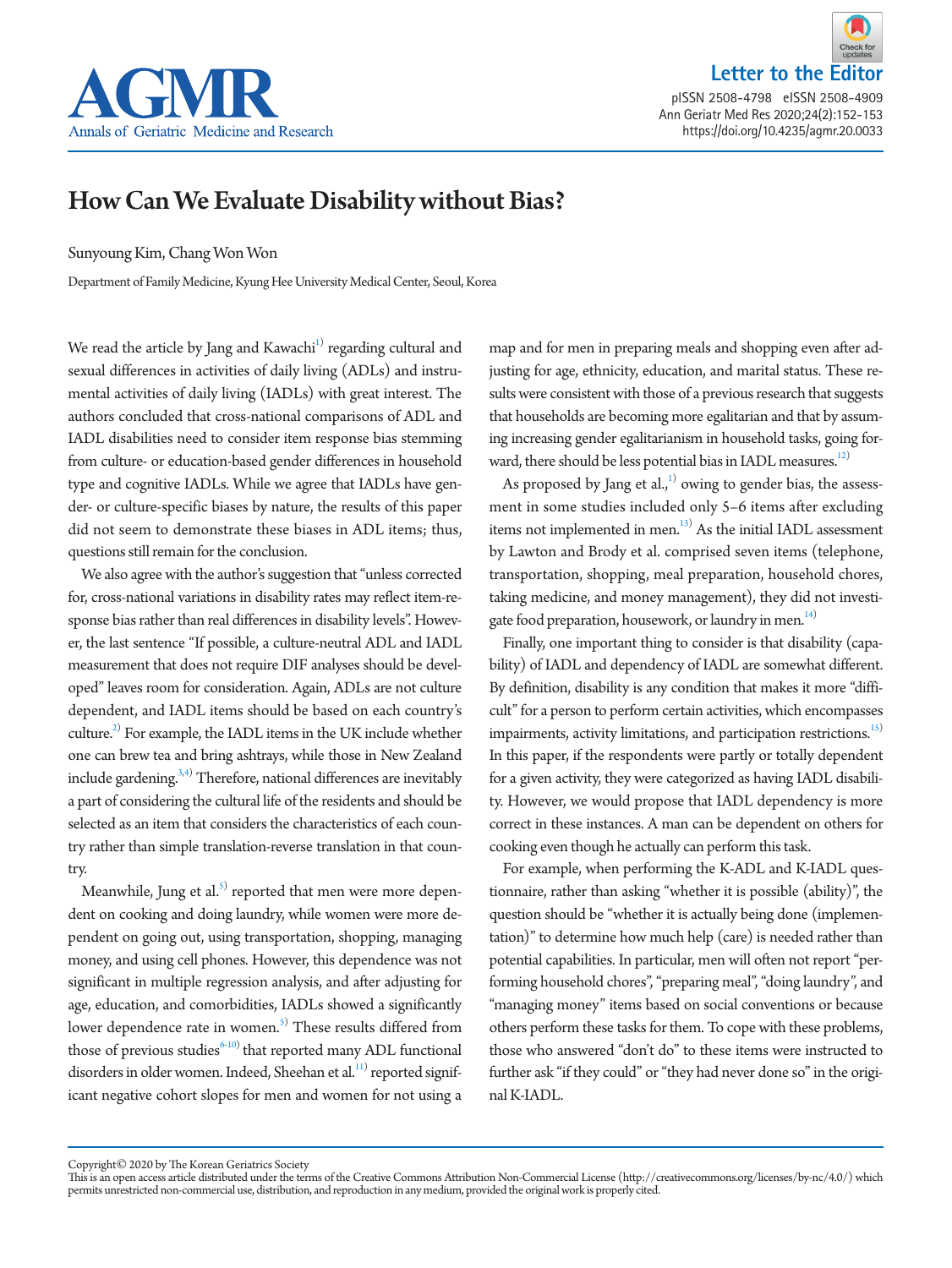

**Letter to the Editor** 

pISSN 2508-4798 eISSN 2508-4909 Ann Geriatr Med Res 2020;24(2):152-153 https://doi.org/10.4235/agmr.20.0033

## How Can We Evaluate Disability without Bias?

Sunyoung Kim, Chang Won Won

Department of Family Medicine, Kyung Hee University Medical Center, Seoul, Korea

We read the article by Jang and  $K$ awachi $^{1)}$  regarding cultural and sexual differences in activities of daily living (ADLs) and instrumental activities of daily living (IADLs) with great interest. The authors concluded that cross-national comparisons of ADL and IADL disabilities need to consider item response bias stemming from culture- or education-based gender differences in household type and cognitive IADLs. While we agree that IADLs have gender- or culture-specific biases by nature, the results of this paper did not seem to demonstrate these biases in ADL items; thus, questions still remain for the conclusion.

We also agree with the author's suggestion that "unless corrected for, cross-national variations in disability rates may reflect item-response bias rather than real differences in disability levels". However, the last sentence "If possible, a culture-neutral ADL and IADL measurement that does not require DIF analyses should be developed" leaves room for consideration. Again, ADLs are not culture dependent, and IADL items should be based on each country's culture.<sup>2)</sup> For example, the IADL items in the UK include whether one can brew tea and bring ashtrays, while those in New Zealand include gardening.<sup>3[,4](#page-1-3))</sup> Therefore, national differences are inevitably a part of considering the cultural life of the residents and should be selected as an item that considers the characteristics of each country rather than simple translation-reverse translation in that country.

Meanwhile, Jung et al.<sup>5)</sup> reported that men were more dependent on cooking and doing laundry, while women were more dependent on going out, using transportation, shopping, managing money, and using cell phones. However, this dependence was not significant in multiple regression analysis, and after adjusting for age, education, and comorbidities, IADLs showed a significantly lower dependence rate in women. $^{5)}$  These results differed from those of previous studies $^{6-10)}$  $^{6-10)}$  $^{6-10)}$  $^{6-10)}$  that reported many ADL functional disorders in older women. Indeed, Sheehan et al.<sup>11)</sup> reported significant negative cohort slopes for men and women for not using a

map and for men in preparing meals and shopping even after adjusting for age, ethnicity, education, and marital status. These results were consistent with those of a previous research that suggests that households are becoming more egalitarian and that by assuming increasing gender egalitarianism in household tasks, going forward, there should be less potential bias in IADL measures.<sup>12)</sup>

As proposed by Jang et al.,  $^{1)}$  owing to gender bias, the assessment in some studies included only 5–6 items after excluding items not implemented in men.<sup>13)</sup> As the initial IADL assessment by Lawton and Brody et al. comprised seven items (telephone, transportation, shopping, meal preparation, household chores, taking medicine, and money management), they did not investigate food preparation, housework, or laundry in men.<sup>14)</sup>

Finally, one important thing to consider is that disability (capability) of IADL and dependency of IADL are somewhat different. By definition, disability is any condition that makes it more "difficult" for a person to perform certain activities, which encompasses impairments, activity limitations, and participation restrictions.<sup>[15](#page-1-11))</sup> In this paper, if the respondents were partly or totally dependent for a given activity, they were categorized as having IADL disability. However, we would propose that IADL dependency is more correct in these instances. A man can be dependent on others for cooking even though he actually can perform this task.

For example, when performing the K-ADL and K-IADL questionnaire, rather than asking "whether it is possible (ability)", the question should be "whether it is actually being done (implementation)" to determine how much help (care) is needed rather than potential capabilities. In particular, men will often not report "performing household chores", "preparing meal", "doing laundry", and "managing money" items based on social conventions or because others perform these tasks for them. To cope with these problems, those who answered "don't do" to these items were instructed to further ask "if they could" or "they had never done so" in the original K-IADL.

Copyright© 2020 by The Korean Geriatrics Society

This is an open access article distributed under the terms of the Creative Commons Attribution Non-Commercial License (http://creativecommons.org/licenses/by-nc/4.0/) which permits unrestricted non-commercial use, distribution, and reproduction in any medium, provided the original work is properly cited.